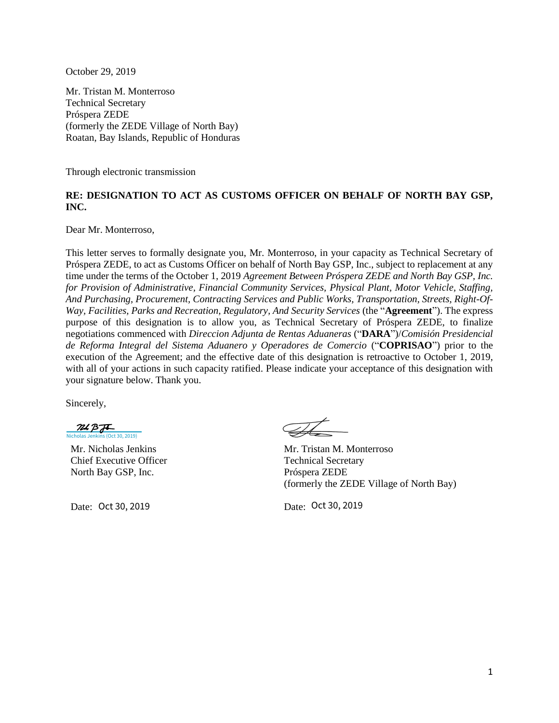October 29, 2019

Mr. Tristan M. Monterroso Technical Secretary Próspera ZEDE (formerly the ZEDE Village of North Bay) Roatan, Bay Islands, Republic of Honduras

Through electronic transmission

## **RE: DESIGNATION TO ACT AS CUSTOMS OFFICER ON BEHALF OF NORTH BAY GSP, INC.**

Dear Mr. Monterroso,

This letter serves to formally designate you, Mr. Monterroso, in your capacity as Technical Secretary of Próspera ZEDE, to act as Customs Officer on behalf of North Bay GSP, Inc., subject to replacement at any time under the terms of the October 1, 2019 *Agreement Between Próspera ZEDE and North Bay GSP, Inc. for Provision of Administrative, Financial Community Services, Physical Plant, Motor Vehicle, Staffing, And Purchasing, Procurement, Contracting Services and Public Works, Transportation, Streets, Right-Of-Way, Facilities, Parks and Recreation, Regulatory, And Security Services* (the "**Agreement**"). The express purpose of this designation is to allow you, as Technical Secretary of Próspera ZEDE, to finalize negotiations commenced with *Direccion Adjunta de Rentas Aduaneras* ("**DARA**")/*Comisión Presidencial de Reforma Integral del Sistema Aduanero y Operadores de Comercio* ("**COPRISAO**") prior to the execution of the Agreement; and the effective date of this designation is retroactive to October 1, 2019, with all of your actions in such capacity ratified. Please indicate your acceptance of this designation with your signature below. Thank you.

Sincerely,

 $MBF$ [Nicholas Jenkins \(Oct 30, 2019\)](https://eu1.documents.adobe.com/verifier?tx=CBJCHBCAABAA3RvF7X4Ud3Agcl-sFRms_qeM8akIt-xu)

Mr. Nicholas Jenkins Chief Executive Officer North Bay GSP, Inc.

Date: Oct 30, 2019

Mr. Tristan M. Monterroso Technical Secretary Próspera ZEDE (formerly the ZEDE Village of North Bay)

Date: Oct 30, 2019